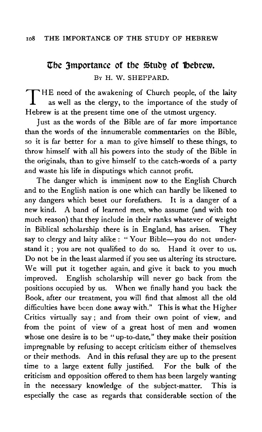# **The 3mportance of the Study of Bebrew.** BY H. W. SHEPPARD.

THE need of the awakening of Church people, of the laity as well as the clergy, to the importance of the study of Hebrew is at the present time one of the utmost urgency.

Just as the words of the Bible are of far more importance than the words of the innumerable commentaries on the Bible, so it is far better for a man to give himself to these things, to throw himself with all his powers into the study of the Bible in the originals, than to give himself to the catch-words of a party and waste his life in disputings which cannot profit.

The danger which is imminent now to the English Church and to the English nation is one which can hardly be likened to any dangers which beset our forefathers. It is a danger of a new kind. A band of learned men, who assume (and with too much reason) that they include in their ranks whatever of weight in Biblical scholarship there is in England, has arisen. They say to clergy and laity alike : "Your Bible-you do not understand it ; you are not qualified to do so. Hand it over to us. Do not be in the least alarmed if you see us altering its structure. We will put it together again, and give it back to you much improved. English scholarship will never go back from the positions occupied by us. When we finally hand you back the Book, after our treatment, you will find that almost all the old difficulties have been done away with." This is what the Higher Critics virtually say; and from their own point of view, and from the point of view of a great host of men and women whose one desire is to be " up-to-date," they make their position impregnable by refusing to accept criticism either of themselves or their methods. And in this refusal they are up to the present time to a large extent fully justified. For the bulk of the criticism and opposition offered to them has been largely wanting in the necessary knowledge of the subject-matter. This is especially the case as regards that considerable section of the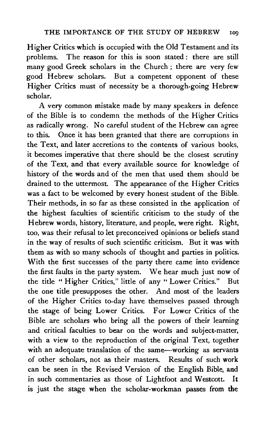Higher Critics which is occupied with the Old Testament and its problems. The reason for this is soon stated : there are still many good Greek scholars in the Church ; there are very few good Hebrew scholars. But a competent opponent of these Higher Critics must of necessity be a thorough-going Hebrew scholar.

A very common mistake made by many speakers in defence of the Bible is to condemn the methods of the Higher Critics as radically wrong. No careful student of the Hebrew can agree to this. Once it has been granted that there are corruptions in the Text, and later accretions to the contents of various books, it becomes imperative that there should be the closest scrutiny of the Text, and that every available source for knowledge of history of the words and of the men that used them should be drained to the uttermost. The appearance of the Higher Critics was a fact to be welcomed by every honest student of the Bible. Their methods, in so far as these consisted in the application of the highest faculties of scientific criticism to the study of the Hebrew words, history, literature, and people, were right. Right, too, was their refusal to let preconceived opinions or beliefs stand in the way of results of such scientific criticism. But it was with them as with so many schools of thought and parties in politics. With the first successes of the party there came into evidence the first faults in the party system. We hear much just now of the title " Higher Critics," little of any " Lower Critics." But the one title presupposes the other. And most of the leaders of the Higher Critics to-day have themselves passed through the stage of being Lower Critics. For Lower Critics of the Bible are scholars who bring all the powers of their learning and critical faculties to bear on the words and subject-matter, with a view to the reproduction of the original Text, together with an adequate translation of the same---working as servants of other scholars, not as their masters. Results of such work can be seen in the Revised Version of the English Bible, and in such commentaries as those of Lightfoot and Westcott. It is just the stage when the scholar-workman passes from the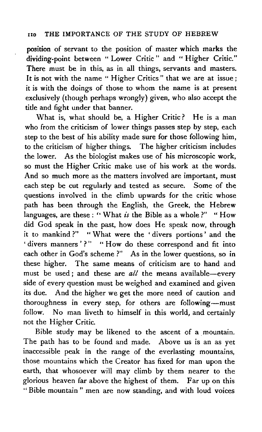position of servant to the position of master which marks the dividing-point between " Lower Critic " and " Higher Critic." There must be in this, as in all things, servants and masters. It is not with the name "Higher Critics" that we are at issue; it is with the doings of those to whom the name is at present exclusively (though perhaps wrongly) given, who also accept the title and fight under that banner.

What is, what should be, a Higher Critic? He is a man who from the criticism of lower things passes step by step, each step to the best of his ability made sure for those following him, to the criticism of higher things. The higher criticism includes the lower. As the biologist makes use of his microscopic work, so must the Higher Critic make use of his work at the words. And so much more as the matters involved are important, must each step be cut regularly and tested as secure. Some of the questions involved in the climb upwards for the critic whose path has been through the English, the Greek, the Hebrew languages, are these: "What *is* the Bible as a whole?" "How did God speak in the past, how does He speak now, through it to mankind?" "What were the 'divers portions' and the 'divers manners'?" "How do these correspond and fit into each other in God's scheme ?" As in the lower questions, so in these higher. The same means of criticism are to hand and must be used; and these are *all* the means available-every side of every question must be weighed and examined and given its due. And the higher we get the more need of caution and thoroughness in every step, for others are following-must follow. No man liveth to himself in this world, and certainly not the Higher Critic.

Bible study may be likened to the ascent of a mountain. The path has to be found and made. Above us is an as yet inaccessible peak in the range of the everlasting mountains, those mountains which the Creator has fixed for man upon the earth, that whosoever will may climb by them nearer to the glorious heaven far above the highest of them. Far up on this " Bible mountain " men are now standing, and with loud voices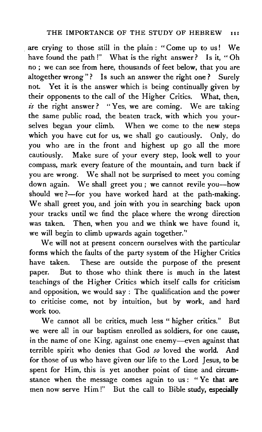are crying to those still in the plain : "Come up to us! We have found the path!" What is the right answer? Is it, "Oh no; we can see from here, thousands of feet below, that you are altogether wrong"? Is such an answer the right one? Surely not. Yet it is the answer which is being continually given by their opponents to the call of the Higher Critics. What, then, is the right answer? "Yes, we are coming. We are taking the same public road, the beaten track, with which you yourselves began your climb. When we come to the new steps which you have cut for us, we shall go cautiously. Only, do you who are in the front and highest up go all the more cautiously. Make sure of your every step, look well to your compass, mark every feature of the mountain, and turn back if you are wrong. We shall not be surprised to meet you coming down again. We shall greet you ; we cannot revile you-how should we?-for you have worked hard at the path-making. We shall greet you, and join with you in searching back upon your tracks until we find the place where the wrong direction was taken. Then, when you and we think we have found it, we will begin to climb upwards again together.''

We will not at present concern ourselves with the particular forms which the faults of the party system of the Higher Critics have taken. These are outside the purpose of the present paper. But to those who think there is much in the latest teachings of the Higher Critics which itself calls for criticism and opposition, we would say: The qualification and the power to criticise come, not by intuition, but by work, and hard work too.

We cannot all be critics, much less " higher critics." But we were all in our baptism enrolled as soldiers, for one cause, in the name of one King, against one enemy-even against that terrible spirit who denies that God so loved the world. And for those of us who have given our life to the Lord Jesus, to be spent for Him, this is yet another point of time and circumstance when the message comes again to us : "Ye that are men now serve Him!" But the call to Bible study, especially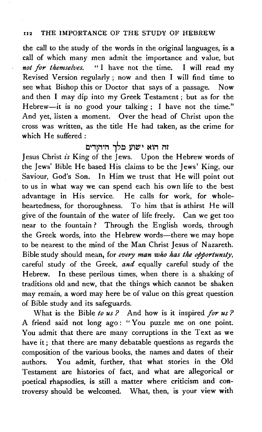### n2 THE IMPORTANCE OF THE STUDY OF HEBREW

the call to the study of the words in the original languages, is a call of which many men admit the importance and value, but *not for themselves.* " I have not the time. I will read my Revised Version regularly ; now and then I will find time to see what Bishop this or Doctor that says of a passage. Now and then I may dip into my Greek Testament ; but as for the Hebrew-it is no good your talking; I have not the time." And yet, listen a moment. Over the head of Christ upon the cross was written, as the title He had taken, as the crime for which He suffered:

## וה הוא ישוע מלך היהודים

Jesus Christ *£s* King of the Jews. Upon the Hebrew words of the Jews' Bible He based His claims to be the Jews' King, our Saviour, God's Son. In Him we trust that He will point out to us in what way we can spend each his own life to the best advantage in His service. He calls for work, for wholeheartedness, for thoroughness. To him that is athirst He will give of the fountain of the water of life freely. Can we get too near to the fountain ? Through the English words, through the Greek words, into the Hebrew words—there we may hope to be nearest to the mind of the Man Christ Jesus of Nazareth. Bible study should mean, for *every man who has the opportumty,*  careful study of the Greek, *and* equally careful study of the Hebrew. In these perilous times, when there is a shaking of traditions old and new, that the things which cannot be shaken may remain, a word may here be of value on this great question of Bible study and its safeguards.

What is the Bible *to us* ? And how is it inspired *for us* ? A friend said not long ago: "You puzzle me on one point. You admit that there are many corruptions in the Text as we have it ; that there are many debatable questions as regards the composition of the various books, the names and dates of their authors. You admit, further, that what stories in the Old Testament are histories of fact, and what are allegorical or poetical rhapsodies, is still a matter where criticism and controversy should be welcomed. What, then, is your view with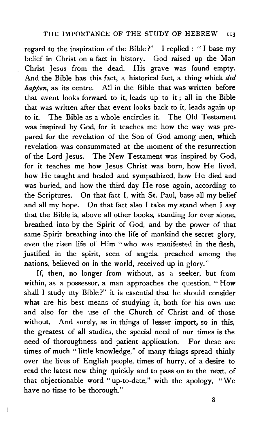regard to the inspiration of the Bible ?" I replied : " I base my belief in Christ on a fact in history. God raised up the Man Christ Jesus from the dead. His grave was found empty. And the Bible has this fact, a historical fact, a thing which did *happen,* as its centre. All in the Bible that was written before that event looks forward to it, leads up to it ; all in the Bible that was written after that event looks back to it, leads again up to it. The Bible as a whole encircles it. The Old Testament was inspired by God, for it teaches me how the way was prepared for the revelation of the Son of God among men, which revelation was consummated at the moment of the resurrection of the Lord Jesus. The New Testament was inspired by God, for it teaches me how Jesus Christ was born, how He lived, how He taught and healed and sympathized, how He died and was buried, and how the third day He rose again, according to the Scriptures. On that fact I, with St. Paul, base all my belief and all my hope. On that fact also I take my stand when I say that the Bible is, above all other books, standing for ever alone, breathed into by the Spirit of God, and by the power of that same Spirit breathing into the life of mankind the secret glory, even the risen life of Him " who was manifested in the flesh, justified in the spirit, seen of angels, preached among the nations, believed on in the world, received up in glory."

If, then, no longer from without, as a seeker, but from within, as a possessor, a man approaches the question, "How shall I study my Bible?" it is essential that he should consider what are his best means of studying it, both for his own use and also for the use of the Church of Christ and of those without. And surely, as in things of lesser import, so in this, the greatest of all studies, the special need of our times is the need of thoroughness and patient application. For these are times of much " little knowledge," of many things spread thinly over the lives of English people, times of hurry, of a desire to read the latest new thing quickly and to pass on to the next, of that objectionable word "up-to-date,'' with the apology, "We have no time to be thorough."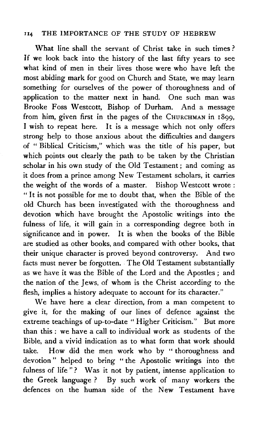### II4 THE IMPORTANCE OF THE STUDY OF HEBREW

What line shall the servant of Christ take in such times? If we look back into the history of the last fifty years to see what kind of men in their lives those were who have left the most abiding mark for good on Church and State, we may learn something for ourselves of the power of thoroughness and of application to the matter next in hand. One such man was Brooke Foss Westcott, Bishop of Durham. And a message from him, given first in the pages of the CHURCHMAN in 1899, I wish to repeat here. It is a message which not only offers strong help to those anxious about the difficulties and dangers of " Biblical Criticism," which was the title of his paper, but which points out clearly the path to be taken by the Christian scholar in his own study of the Old Testament; and coming as it does from a prince among New Testament scholars, it carries the weight of the words of a master. Bishop Westcott wrote : "It is not possible for me to doubt that, when the Bible of the old Church has been investigated with the thoroughness and devotion which have brought the Apostolic writings into the fulness of life, it will gain in a corresponding degree both in significance and in power. It is when the books of the Bible are studied as other books, and compared with other books, that their unique character is proved beyond controversy. And two facts must never be forgotten. The Old Testament substantially as we have it was the Bible of the Lord and the Apostles; and the nation of the Jews, of whom is the Christ according to the flesh, implies a history adequate to account for its character."

We have here a clear direction, from a man competent to give it, for the making of our lines of defence against the extreme teachings of up-to-date "Higher Criticism." But more than this : we have a call to individual work as students of the Bible, and a vivid indication as to what form that work should take. How did the men work who by " thoroughness and devotion" helped to bring " the Apostolic writings into the fulness of life "? Was it not by patient, intense application to the Greek language ? By such work of many workers the defences on the human side of the New Testament have